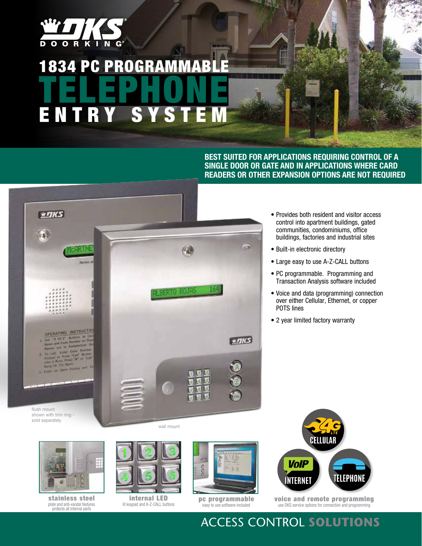

## **1834 PC PROGRAMMABL** TELEPHONE ENTRY SYS

**Best suited for applications requiring control of a single door or gate and in applications where card readers or other expansion options are not required**



- Provides both resident and visitor access control into apartment buildings, gated communities, condominiums, office buildings, factories and industrial sites
- Built-in electronic directory
- Large easy to use A-Z-CALL buttons
- PC programmable. Programming and Transaction Analysis software included
- Voice and data (programming) connection over either Cellular, Ethernet, or copper POTS lines
- 2 year limited factory warranty



stainless steel plate and anti-vandal features protects all internal parts



internal LED lit keypad and A-Z-CALL buttons



pc programmable easy to use software included



voice and remote programming use DKS service options for connection and programming

### Access Control **Solutions**